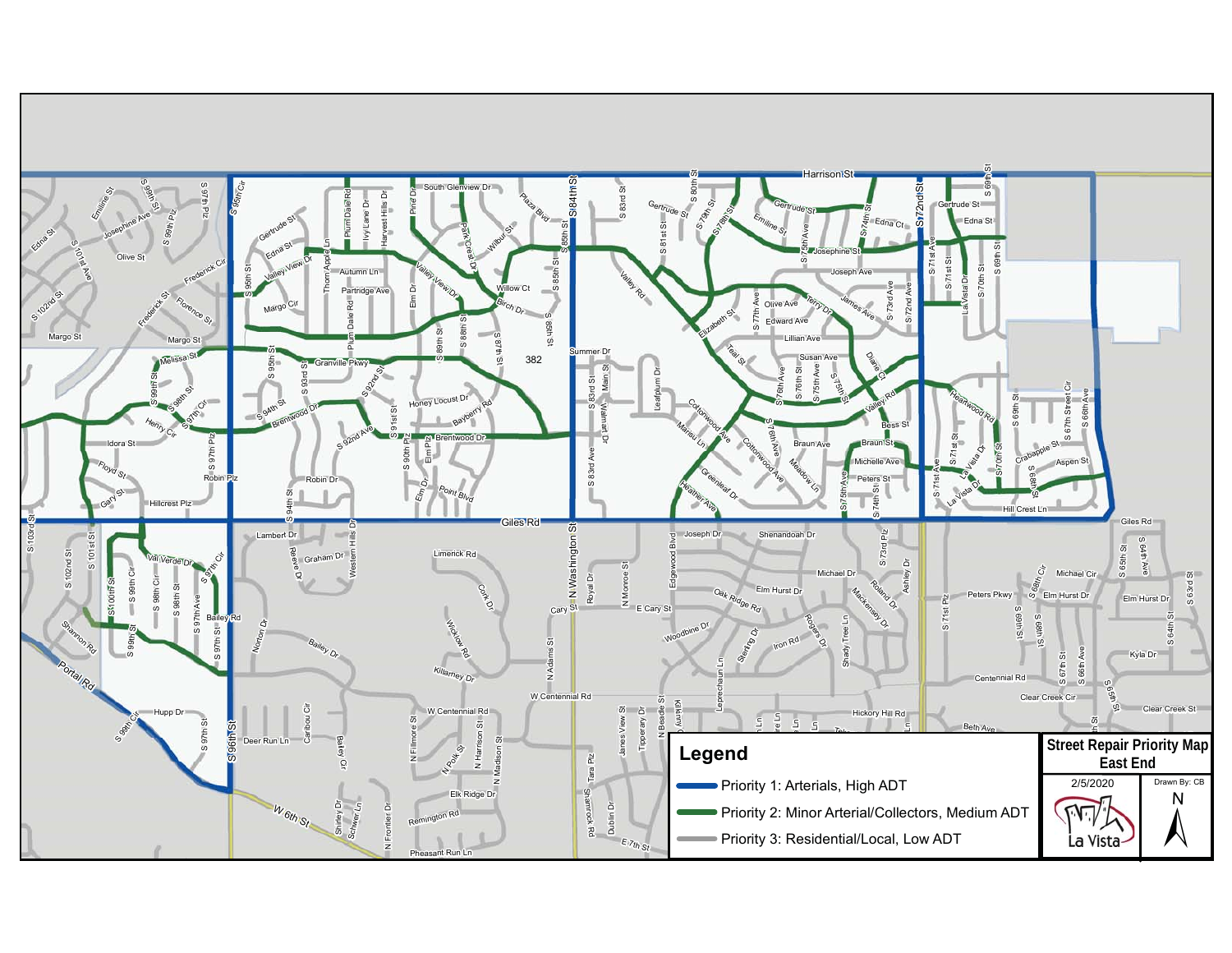